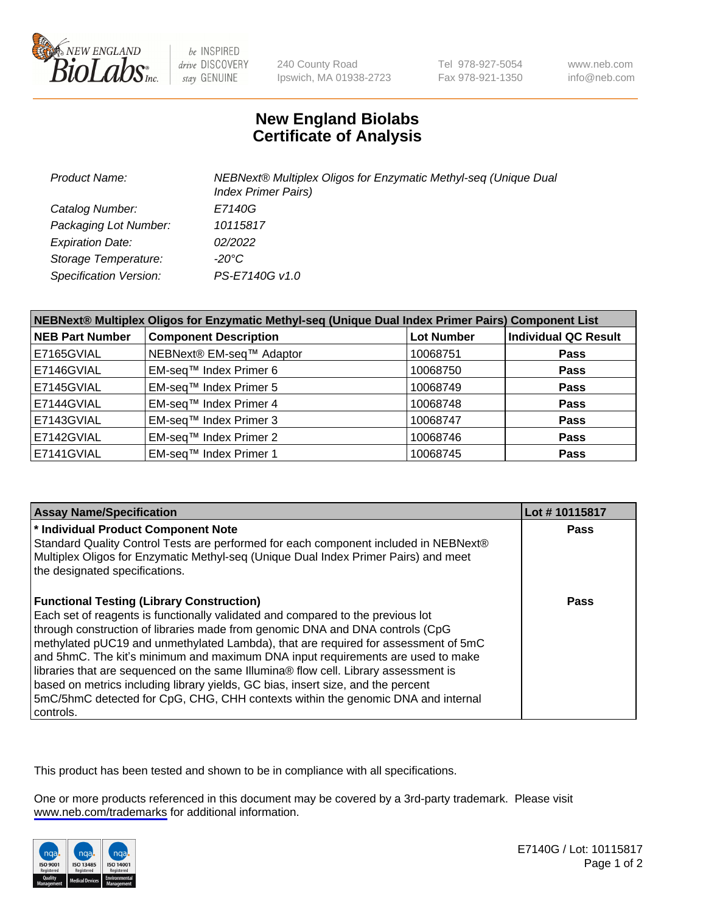

be INSPIRED drive DISCOVERY stay GENUINE

240 County Road Ipswich, MA 01938-2723 Tel 978-927-5054 Fax 978-921-1350

www.neb.com info@neb.com

## **New England Biolabs Certificate of Analysis**

| <b>Product Name:</b>          | NEBNext® Multiplex Oligos for Enzymatic Methyl-seq (Unique Dual<br><b>Index Primer Pairs)</b> |
|-------------------------------|-----------------------------------------------------------------------------------------------|
| Catalog Number:               | E7140G                                                                                        |
| Packaging Lot Number:         | 10115817                                                                                      |
| <b>Expiration Date:</b>       | 02/2022                                                                                       |
| Storage Temperature:          | -20°C                                                                                         |
| <b>Specification Version:</b> | PS-E7140G v1.0                                                                                |

| NEBNext® Multiplex Oligos for Enzymatic Methyl-seq (Unique Dual Index Primer Pairs) Component List |                              |                   |                             |  |
|----------------------------------------------------------------------------------------------------|------------------------------|-------------------|-----------------------------|--|
| <b>NEB Part Number</b>                                                                             | <b>Component Description</b> | <b>Lot Number</b> | <b>Individual QC Result</b> |  |
| E7165GVIAL                                                                                         | NEBNext® EM-seq™ Adaptor     | 10068751          | <b>Pass</b>                 |  |
| E7146GVIAL                                                                                         | EM-seq™ Index Primer 6       | 10068750          | <b>Pass</b>                 |  |
| E7145GVIAL                                                                                         | EM-seq™ Index Primer 5       | 10068749          | <b>Pass</b>                 |  |
| E7144GVIAL                                                                                         | EM-seq™ Index Primer 4       | 10068748          | <b>Pass</b>                 |  |
| E7143GVIAL                                                                                         | EM-seq™ Index Primer 3       | 10068747          | <b>Pass</b>                 |  |
| E7142GVIAL                                                                                         | EM-seq™ Index Primer 2       | 10068746          | <b>Pass</b>                 |  |
| E7141GVIAL                                                                                         | EM-seq™ Index Primer 1       | 10068745          | <b>Pass</b>                 |  |

| <b>Assay Name/Specification</b>                                                                                                                                                                                                                                                                                                                                                                                                                                                                                                                                                                                                                                           | Lot #10115817 |
|---------------------------------------------------------------------------------------------------------------------------------------------------------------------------------------------------------------------------------------------------------------------------------------------------------------------------------------------------------------------------------------------------------------------------------------------------------------------------------------------------------------------------------------------------------------------------------------------------------------------------------------------------------------------------|---------------|
| * Individual Product Component Note<br>Standard Quality Control Tests are performed for each component included in NEBNext®<br>Multiplex Oligos for Enzymatic Methyl-seq (Unique Dual Index Primer Pairs) and meet<br>the designated specifications.                                                                                                                                                                                                                                                                                                                                                                                                                      | <b>Pass</b>   |
| <b>Functional Testing (Library Construction)</b><br>Each set of reagents is functionally validated and compared to the previous lot<br>through construction of libraries made from genomic DNA and DNA controls (CpG<br>methylated pUC19 and unmethylated Lambda), that are required for assessment of 5mC<br>and 5hmC. The kit's minimum and maximum DNA input requirements are used to make<br>libraries that are sequenced on the same Illumina® flow cell. Library assessment is<br>based on metrics including library yields, GC bias, insert size, and the percent<br>5mC/5hmC detected for CpG, CHG, CHH contexts within the genomic DNA and internal<br>controls. | Pass          |

This product has been tested and shown to be in compliance with all specifications.

One or more products referenced in this document may be covered by a 3rd-party trademark. Please visit <www.neb.com/trademarks>for additional information.